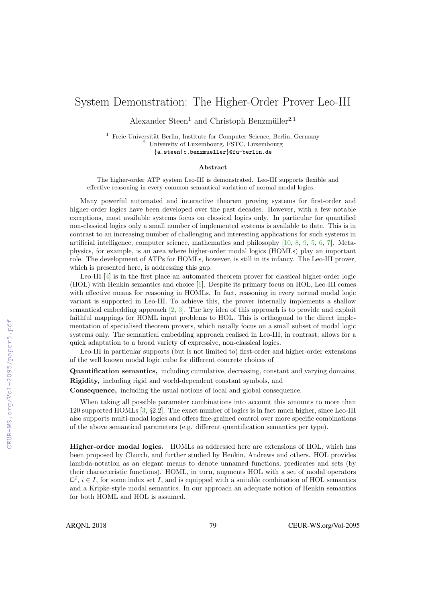# System Demonstration: The Higher-Order Prover Leo-III

Alexander Steen<sup>1</sup> and Christoph Benzmüller<sup>2,1</sup>

 $1$  Freie Universität Berlin, Institute for Computer Science, Berlin, Germany <sup>2</sup> University of Luxembourg, FSTC, Luxembourg {a.steen|c.benzmueller}@fu-berlin.de

#### Abstract

The higher-order ATP system Leo-III is demonstrated. Leo-III supports flexible and effective reasoning in every common semantical variation of normal modal logics.

Many powerful automated and interactive theorem proving systems for first-order and higher-order logics have been developed over the past decades. However, with a few notable exceptions, most available systems focus on classical logics only. In particular for quantified non-classical logics only a small number of implemented systems is available to date. This is in contrast to an increasing number of challenging and interesting applications for such systems in artificial intelligence, computer science, mathematics and philosophy [10, 8, 9, 5, 6, 7]. Metaphysics, for example, is an area where higher-order modal logics (HOMLs) play an important role. The development of ATPs for HOMLs, however, is still in its infancy. The Leo-III prover, which is presented here, is addressing this gap.

Leo-III [4] is in the first place an automated theorem prover for classical higher-order logic (HOL) with Henkin semantics and choice [1]. Despite its primary focus on HOL, Leo-III comes with effective means for reasoning in HOMLs. In fact, reasoning in every normal modal logic variant is supported in Leo-III. To achieve this, the prover internally implements a shallow semantical embedding approach [2, 3]. The key idea of this approach is to provide and exploit faithful mappings for HOML input problems to HOL. This is orthogonal to the direct implementation of specialised theorem provers, which usually focus on a small subset of modal logic systems only. The semantical embedding approach realised in Leo-III, in contrast, allows for a quick adaptation to a broad variety of expressive, non-classical logics.

Leo-III in particular supports (but is not limited to) first-order and higher-order extensions of the well known modal logic cube for different concrete choices of

Quantification semantics, including cumulative, decreasing, constant and varying domains, Rigidity, including rigid and world-dependent constant symbols, and

Consequence, including the usual notions of local and global consequence.

When taking all possible parameter combinations into account this amounts to more than 120 supported HOMLs [3, §2.2]. The exact number of logics is in fact much higher, since Leo-III also supports multi-modal logics and offers fine-grained control over more specific combinations of the above semantical parameters (e.g. different quantification semantics per type).

Higher-order modal logics. HOMLs as addressed here are extensions of HOL, which has been proposed by Church, and further studied by Henkin, Andrews and others. HOL provides lambda-notation as an elegant means to denote unnamed functions, predicates and sets (by their characteristic functions). HOML, in turn, augments HOL with a set of modal operators  $\Box^i$ ,  $i \in I$ , for some index set I, and is equipped with a suitable combination of HOL semantics and a Kripke-style modal semantics. In our approach an adequate notion of Henkin semantics for both HOML and HOL is assumed.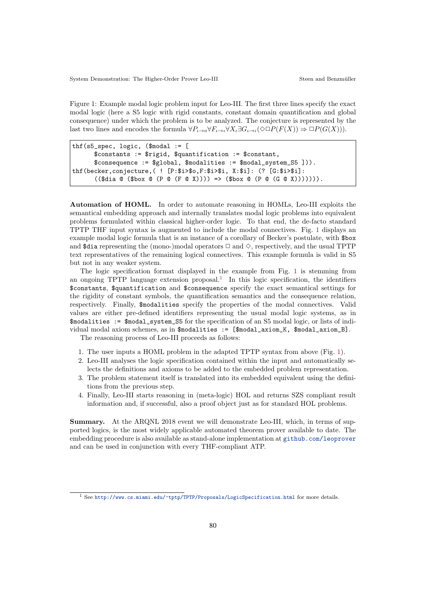Figure 1: Example modal logic problem input for Leo-III. The first three lines specify the exact modal logic (here a S5 logic with rigid constants, constant domain quantification and global consequence) under which the problem is to be analyzed. The conjecture is represented by the last two lines and encodes the formula  $\forall P_{\iota \to \iota} \forall X_{\iota} \exists G_{\iota \to \iota} (\Diamond \Box P(F(X))) \Rightarrow \Box P(G(X))).$ 

```
thf(s5_spec, logic, ($modal := [
      $constants := $rigid, $quantification := $constant,
      $consequence := $global, $modalities := $modal system S5 ])).
thf(becker,conjecture,( ! [P:$i>$o,F:$i>$i, X:$i]: (? [G:$i>$i]:
       ((\text{§dia } @ (\text{§box } @ (P @ (F @ X)))) \Rightarrow (\text{§box } @ (P @ (G @ X)))))).
```
Automation of HOML. In order to automate reasoning in HOMLs, Leo-III exploits the semantical embedding approach and internally translates modal logic problems into equivalent problems formulated within classical higher-order logic. To that end, the de-facto standard TPTP THF input syntax is augmented to include the modal connectives. Fig. 1 displays an example modal logic formula that is an instance of a corollary of Becker's postulate, with \$box and  $\text{\$dia representing the (mono-)modal operators } \Box \text{ and } \diamondsuit$ , respectively, and the usual TPTP text representatives of the remaining logical connectives. This example formula is valid in S5 but not in any weaker system.

The logic specification format displayed in the example from Fig. 1 is stemming from an ongoing TPTP language extension proposal.<sup>1</sup> In this logic specification, the identifiers \$constants, \$quantification and \$consequence specify the exact semantical settings for the rigidity of constant symbols, the quantification semantics and the consequence relation, respectively. Finally, \$modalities specify the properties of the modal connectives. Valid values are either pre-defined identifiers representing the usual modal logic systems, as in \$modalities := \$modal\_system\_S5 for the specification of an S5 modal logic, or lists of individual modal axiom schemes, as in \$modalities := [\$modal\_axiom\_K, \$modal\_axiom\_B].

The reasoning process of Leo-III proceeds as follows:

- 1. The user inputs a HOML problem in the adapted TPTP syntax from above (Fig. 1).
- 2. Leo-III analyses the logic specification contained within the input and automatically selects the definitions and axioms to be added to the embedded problem representation.
- 3. The problem statement itself is translated into its embedded equivalent using the definitions from the previous step.
- 4. Finally, Leo-III starts reasoning in (meta-logic) HOL and returns SZS compliant result information and, if successful, also a proof object just as for standard HOL problems.

Summary. At the ARQNL 2018 event we will demonstrate Leo-III, which, in terms of supported logics, is the most widely applicable automated theorem prover available to date. The embedding procedure is also available as stand-alone implementation at github.com/leoprover and can be used in conjunction with every THF-compliant ATP.

<sup>1</sup> See http://www.cs.miami.edu/~tptp/TPTP/Proposals/LogicSpecification.html for more details.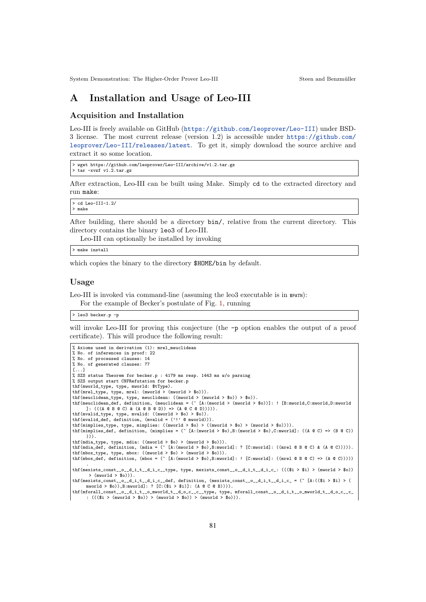## A Installation and Usage of Leo-III

#### Acquisition and Installation

Leo-III is freely available on GitHub (https://github.com/leoprover/Leo-III) under BSD-3 license. The most current release (version 1.2) is accessible under https://github.com/ leoprover/Leo-III/releases/latest. To get it, simply download the source archive and extract it so some location.

```
> wget https://github.com/leoprover/Leo-III/archive/v1.2.tar.gz
> tar -xvzf v1.2.tar.gz
```
After extraction, Leo-III can be built using Make. Simply cd to the extracted directory and run make:

```
> cd Leo-III-1.2/
> make
```
After building, there should be a directory bin/, relative from the current directory. This directory contains the binary leo3 of Leo-III.

Leo-III can optionally be installed by invoking

> make install

which copies the binary to the directory  $$HOME/b$ in by default.

#### Usage

Leo-III is invoked via command-line (assuming the leo3 executable is in \$PATH):

For the example of Becker's postulate of Fig. 1, running

> leo3 becker.p -p

will invoke Leo-III for proving this conjecture (the  $-p$  option enables the output of a proof certificate). This will produce the following result:

```
% Axioms used in derivation (1): mrel_meuclidean
% No. of inferences in proof: 22
% No. of processed clauses: 14
% No. of generated clauses: 77
[...]
% SZS status Theorem for becker.p : 4179 ms resp. 1443 ms w/o parsing
% SZS output start CNFRefutation for becker.p
thf(mworld_type, type, mworld: $tType).
\texttt{thf}(\texttt{mrel\_type, type, mrel: (mworld > (mworld > $o))}).thf(meuclidean_type, type, meuclidean: ((\text{mvorld} > (\text{mvorld} > \text{\$o})) > \text{\$o})).
thf(meuclidean_def, definition, (meuclidean = (^ [A:(mworld > (mworld > $o))]: ! [B:mworld,C:mworld,D:mworld
     ]: (((A @ B @ C) & (A @ B @ D)) => (A @ C @ D))))).
thf(mvalid_type, type, mvalid: ((mworld > $o) > $o)).
thf(mvalid_def, definition, (mvalid = ('!' @ mworld))).
thf(mimplies_type, type, mimplies: ((mworld > $o) > ((mworld > $o) > (mworld > $o)))).
thf(mimplies_def, definition, (mimplies = (^ [A:(mworld > $o),B:(mworld > $o),C:mworld]: ((A @ C) => (B @ C))
      ))).
thf(mdia_type, type, mdia: ((mworld > $o) > (mworld > $o))).
thf(mdia_def, definition, (mdia = (^ [A:(mworld > $o),B:mworld]: ? [C:mworld]: ((mrel @ B @ C) & (A @ C))))).
thf(mbox_type, type, mbox: ((mworld > $o) > (mworld > $o))).
thf(mbox_def, definition, (mbox = (^ [A:(mworld > $o),B:mworld]: ! [C:mworld]: ((mrel @ B @ C) => (A @ C)))))
.
thf(mexists_const__o__d_i_t__d_i_c__type, type, mexists_const__o__d_i_t__d_i_c_: ((($i > $i) > (mworld > $o))
       > (mworld > $o))).
\textit{thf}(\texttt{mexists\_const}\_\texttt{0}\_\texttt{d\_i\_t}\_\texttt{d\_i\_c\_def},\ \texttt{definition},\ (\texttt{mexists}\_\texttt{const}\_\texttt{0}\_\texttt{d\_i\_t}\_\texttt{d\_i\_c}\ =\ (\texttt{A}:(\texttt{\$i > \$i})\ \texttt{)}mworld > $o)),B:mworld]: ? [C:($i > $i)]: (A @ C @ B)))).<br>thf(mforall_const_o_d_i_t__o_mworld_t__d_o_c__c__type, type, mforall_const__o_d_i_t__o_mworld_t__d_o_c__c_
      : ((($i > (mworld > $o)) > (mworld > $o)) > (mworld > $o))).
```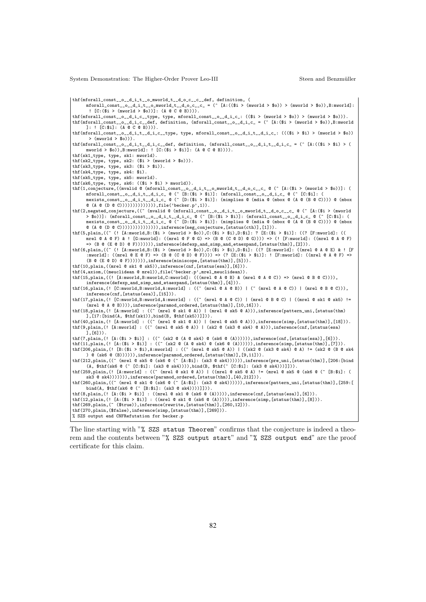thf(mforall\_const\_\_o\_\_d\_i\_t\_\_o\_mworld\_t\_\_d\_o\_c\_\_c\_\_def, definition, (

mforall\_const\_\_o\_\_d\_i\_t\_\_o\_mworld\_t\_\_d\_o\_c\_\_c\_ = (^ [A:((\$i > (mworld > \$o)) > (mworld > \$o)),B:mworld]: ! [C:(\$i > (mworld > \$o))]: (A @ C @ B)))).

 $thf(mfor all\_const\_o\_d_i.c\_type,$  type,  $mfor all\_const\_o\_d_i.c_$ :  $(($i > (mworld > $o)) > (mworld > $o))$ . thf(mforall\_const\_\_o\_\_d\_i\_c\_\_def, definition, (mforall\_const\_\_o\_d\_i\_c\_ = (^ [A:(\$i > (mworld > \$o)),B:mworld ]: ! [C:\$i]: (A @ C @ B)))).

thf(mforall const\_o\_d\_it\_d\_ic\_type, type, mforall\_const\_o\_d\_it\_d\_ic\_:  $(((\$i > \$i) > (mword \> \$o))$  $>$  (mworld  $>$  \$o))).

thf(mforall\_const\_\_o\_\_d\_i\_t\_\_d\_i\_c\_\_def, definition, (mforall\_const\_\_o\_\_d\_i\_t\_\_d\_i\_c\_ = (^ [A:((\$i > \$i) > ( mworld > \$o)),B:mworld]: ! [C:(\$i > \$i)]: (A @ C @ B)))).

thf(sk1\_type, type, sk1: mworld). thf(sk2\_type, type, sk2:  $($i > (mword > $o))$ ).

thf(sk3\_type, type, sk3: (\$i > \$i)).

thf(sk4\_type, type, sk4: \$i).

thf(sk5\_type, type, sk5: mworld).

 $\verb+thf(sk6_type, type, sk6: ((\$i > \$i) > mworld)).$ 

thf(1,conjecture,((mvalid @ (mforall\_const\_\_o\_\_d\_i\_t\_\_o\_mworld\_t\_\_d\_o\_c\_\_c\_ @ (^ [A:(\$i > (mworld > \$o))]: ( mforall\_const\_\_o\_\_d\_i\_t\_\_d\_i\_c\_ @ (^ [B:(\$i > \$i)]: (mforall\_const\_\_o\_\_d\_i\_c\_ @ (^ [C:\$i]: (<br>mexists\_const\_\_o\_\_d\_i\_t\_\_d\_i\_c\_ @ (^ [D:(\$i > \$i)]: (mimplies @ (mdia @ (mbox @ (A @ (B @ C)))) @ (mbox

@ (A @ (D @ C)))))))))))))),file('becker.p',1)). thf(2,negated\_conjecture,((~ (mvalid @ (mforall\_const\_\_o\_\_d\_i\_t\_\_o\_mworld\_t\_\_d\_o\_c\_\_c\_ @ (^ [A:(\$i > (mworld  $>$   $\infty$ ))]: (mforall\_const\_o\_d\_i\_t\_d\_i\_c\_ @ (^ [B: $(\$i > \$i)]$ : (mforall\_const\_o\_d\_i\_c\_ @ (^ [C: $\$i]$ : ( mexists\_const\_\_o\_\_d\_i\_t\_\_d\_i\_c\_ @ (^ [D:(\$i > \$i)]: (mimplies @ (mdia @ (mbox @ (A @ (B @ C)))) @ (mbox<br>@ (A @ (D @ C))))))))))))))))),inference(neg\_conjecture,[status(cth)],[1])).

thf(5,plain,((~ (! [A:mworld,B:(\$i > (mworld > \$o)),C:(\$i > \$i),D:\$i]: ? [E:(\$i > \$i)]: ((? [F:mworld]: (( mrel  $@A @F) @!$  [G:mworld]: ((mrel  $@F @G) \Rightarrow (B @(C @D) @G))) \Rightarrow (!$  [F:mworld]: ((mrel  $@A @F)$ => (B @ (E @ D) @ F))))))),inference(defexp\_and\_simp\_and\_etaexpand,[status(thm)],[2])).

thf(6,plain,((~ (! [A:mworld,B:(\$i > (mworld > \$o)),C:(\$i > \$i),D:\$i]: ((? [E:mworld]: ((mrel @ A @ E) & ! [F :mworld]: ((mrel @ E @ F) => (B @ (C @ D) @ F)))) => (? [E:(\$i > \$i)]: ! [F:mworld]: ((mrel @ A @ F) => (B  $\mathbb{C}$  (E  $\mathbb{C}$  D)  $\mathbb{C}$  F))))))), inference(miniscope, [status(thm)], [5])).

thf(10,plain,((mrel @ sk1 @ sk5)),inference(cnf,[status(esa)],[6])). thf(4,axiom,((meuclidean @ mrel)),file('becker.p',mrel\_meuclidean)).

thf(15,plain,(("Ielimworld,B:mworld,C:mworld]: (((mrel @ A @ B) & (mrel @ A @ C)) => (mrel @ B @ C)))), inference(defexp\_and\_simp\_and\_etaexpand,[status(thm)],[4])).

thf(16,plain,(! [C:mworld,B:mworld,A:mworld] : ((~ (mrel @ A @ B)) | (~ (mrel @ A @ C)) | (mrel @ B @ C))), inference(cnf,[status(esa)],[15])).

thf(17,plain,(! [C:mworld,B:mworld,A:mworld] : ((~ (mrel @ A @ C)) | (mrel @ B @ C) | ((mrel @ sk1 @ sk5) !=  $(mrel @ A @ B))))$ , inference(paramod\_ordered, [status(thm)], [10,16])). thf(18,plain,(! [A:mworld] : ((~ (mrel @ sk1 @ A)) | (mrel @ sk5 @ A))),inference(pattern\_uni,[status(thm)

],[17:[bind(A, \$thf(sk1)),bind(B, \$thf(sk5))]])). thf(40,plain,(! [A:mworld] : ((~ (mrel @ sk1 @ A)) | (mrel @ sk5 @ A))),inference(simp,[status(thm)],[18])).<br>thf(9,plain,(! [A:mworld] : ((~ (mrel @ sk5 @ A)) | (sk2 @ (sk3 @ sk4) @ A))),inference(cnf,[status(esa)

 $(6]$ )

thf(7,plain,(! [A:(\$i > \$i)] : ((~ (sk2 @ (A @ sk4) @ (sk6 @ (A)))))),inference(cnf,[status(esa)],[6])).<br>thf(11,plain,(! [A:(\$i > \$i)] : ((~ (sk2 @ (A @ sk4) @ (sk6 @ (A)))))),inference(simp,[status(thm)],[7])).<br>thf(206,pl

 $($  (sk6  $($  B)))))),inference(paramod\_ordered,[status(thm)],[9,11])).

thf(212,plain,((~ (mrel @ sk5 @ (sk6 @ (~ [A:\$i]: (sk3 @ sk4)))))),inference(pre\_uni,[status(thm)],[206:[bind<br>(A, \$thf(sk6 @ (~ [C:\$i]: (sk3 @ sk4)))),bind(B, \$thf(~ [C:\$i]: (sk3 @ sk4)))]])).<br>thf(259,plain,(! [A:mworld] :

sk3 @ sk4))))))),inference(paramod\_ordered,[status(thm)],[40,212])). thf(260,plain,((~ (mrel @ sk1 @ (sk6 @ (^ [A:\$i]: (sk3 @ sk4)))))),inference(pattern\_uni,[status(thm)],[259:[ bind(A, \$thf(sk6 @ (^ [B:\$i]: (sk3 @ sk4))))]])). thf(8,plain,(! [A:(\$i > \$i)] : ((mrel @ sk1 @ (sk6 @ (A))))),inference(cnf,[status(esa)],[6])).<br>thf(12,plain,(! [A:(\$i > \$i)] : ((mrel @ sk1 @ (sk6 @ (A))))),inference(simp,[status(thm)],[8])).<br>thf(269,plain,(~ (\$true)),in

thf(270,plain,(\$false),inference(simp,[status(thm)],[269])).

% SZS output end CNFRefutation for becker.p

The line starting with "% SZS status Theorem" confirms that the conjecture is indeed a theorem and the contents between "% SZS output start" and "% SZS output end" are the proof certificate for this claim.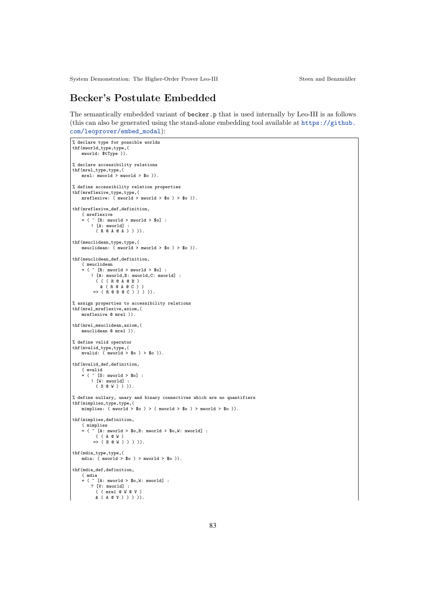# Becker's Postulate Embedded

The semantically embedded variant of becker.p that is used internally by Leo-III is as follows (this can also be generated using the stand-alone embedding tool available at  $https://github.$ com/leoprover/embed\_modal):

```
% declare type for possible worlds
thf(mworld_type,type,(
mworld: $tType )).
% declare accessibility relations
thf(mrel_type,type,(
    mrel: mworld > mworld > $o )).
% define accessibility relation properties
thf(mreflexive_type,type,(
    mreflexive: ( mworld > mworld > $o ) > $o )).
thf(mreflexive_def,definition,
     ( mreflexive
= ( ^ [R: mworld > mworld > $o] :
         ! [A: mworld] :<br>( R @ A @ A ) ) )).
thf(meuclidean_type,type,(
meuclidean: ( mworld > mworld > $o ) > $o )).
thf(meuclidean_def,definition,
    ( meuclidean
     = ( ^ [R: mworld > mworld > $o] :
! [A: mworld,B: mworld,C: mworld] :
         ( ( ( R @ A @ B )
            & ( R @ A @ C ) )
         \Rightarrow (R @ B @ C ) ) ) ).
% assign properties to accessibility relations
thf(mrel_mreflexive,axiom,(
    mreflexive @ mrel )).
thf(mrel_meuclidean,axiom,(
    meuclidean @ mrel )).
% define valid operator
thf(mvalid_type,type,(
    mvalid: (mword > $o) > $o)).
thf(mvalid_def,definition,
     ( mvalid
= ( ^ [S: mworld > $o] :
        ! [W: mworld] :
          (S @ W) ))).
% define nullary, unary and binary connectives which are no quantifiers
thf(mimplies_type,type,(
    mimplies: ( mworld > $o ) > ( mworld > $o ) > mworld > $o )).
thf(mimplies,definition,
    ( mimplies
    = ( \cap [A: mworld > $0, B: mworld > $0, W: mworld] :
          ( ( A @ W )
=> ( B @ W ) ) ) )).
thf(mdia_type,type,(
mdia: ( mworld > $o ) > mworld > $o )).
thf(mdia_def,definition,
    ( mdia
     = ( ^ [A: mworld > $o,W: mworld] :
? [V: mworld] :
( ( mrel @ W @ V )
          & ( A @ V ) ) ) )).
```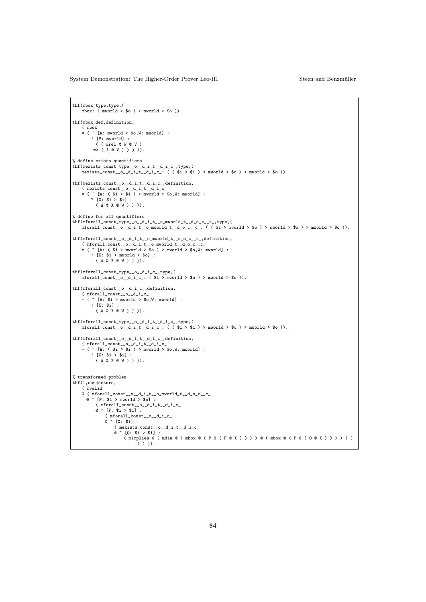```
thf(mbox_type,type,(
     mbox: (mword > $o) > mword > $o)).
thf(mbox_def,definition,
      ( mbox
= ( ^ [A: mworld > $o,W: mworld] :
! [V: mworld] :
            ( ( mrel @ W @ V )<br>=> ( A @ V ) ) ) )).
% define exists quantifiers
thf(mexists_const_type__o__d_i_t__d_i_c_,type,(
     maxists\_const\_o\_d\_i\_t\_d\_i\_c: ( ($i > $i ) > mword > $o ) ) mworld > $o )).
thf(mexists_const__o__d_i_t__d_i_c_,definition,<br>
( mexists_const__o__d_i_t__d_i_c_<br>
= ( ^ [A: ( i > i) > mworld > \deltao,W: mworld] :
           ? [X: $i > $i] :
( A @ X @ W ) ) )).
% define for all quantifiers
thf(mforall_const_type__o__d_i_t__o_mworld_t__d_o_c__c_,type,(<br>mforall_const__o__d_i_t__o_mworld_t__d_o_c__c_: ( ( $i > mworld > $o ) > mworld > $o ) > mworld > $o )).
thf(mforall_const__o__d_i_t__o_mworld_t__d_o_c__c_,definition,
      ( mforall_const__o__d_i_t__o_mworld_t__d_o_c__c_<br>= ( ^ [A: ( $i > mworld > $o ) > mworld > $o,W: mworld] :<br>! [X: $i > mworld > $o] :
             ( A @ X @ W ) ) )).
thf(mforall_const_type_o__d_i_c_,type,(<br>
mforall_const__o__d_i_c_: ( i > mworld > \deltao ) > mworld > \deltao )).
thf(mforall_const__o__d_i_c_,definition,
     ( mforall_const__o__d_i_c_
     = ( \hat{A}: \hat{A}: > \hat{A}: mworld > \hat{A}: mworld] :
           ! [X: $i] :
             ( A @ X @ W ) ) )).
thf(mforall_const_type__o__d_i_t__d_i_c_,type,(<br>
mforall_const__o__d_i_t__d_i_c_: (  $i > $i ) > mworld > $o ) > mworld > $o )).
thf(mforall_const__o__d_i_t__d_i_c_,definition,
      ( mforall_const__o__d_i_t__d_i_c_<br>= ( ^ [A: ( i > 1 ) > mworld > i > 0, W: mworld] :<br>! [X: i > 1 ] :
            ( A @ X @ W ) ) )).
% transformed problem
thf(1,conjecture,
     ( mvalid
      @( mforall_const__o_d_i_t__o_mworld_t__d_o_c__c_<br>@{\frown} [P: $i > mworld > $o] :
             ( mforall_const__o__d_i_t__d_i_c_
             @ ^ [F: $i > $i] :
                   ( mforall_const__o__d_i_c_
@ ^ [X: $i] :
                        ( mexists_const__o__d_i_t__d_i_c_<br>@ ^ [Q: $i > $i] :<br>( mimplies @ ( mdia @ ( mbox @ ( P @ ( F @ X ) ) ) ) @ ( mbox @ ( P @ ( Q @ X ) ) ) ) ) )
                                    \left( \begin{array}{c} 1 \\ 1 \end{array} \right)).
```